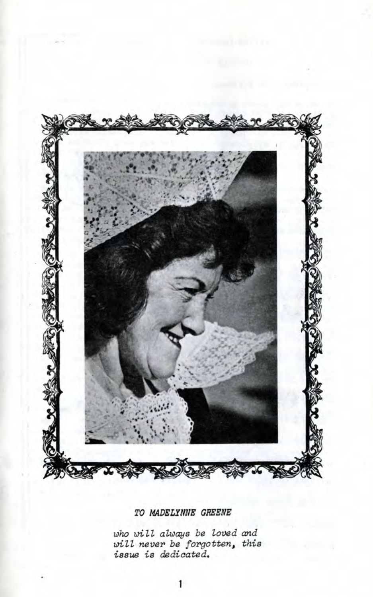

TO MADELYNNE GREENE

*who Dill always be loved and* will never be forgotten, this *issue is dedicated.*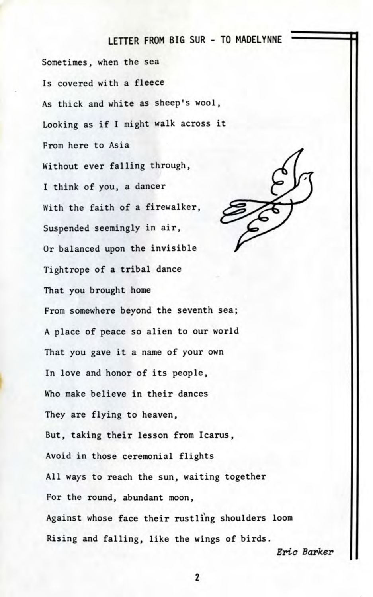### LETTER FROM BIG SUR - TO MADELYNNE

Sometimes, when the sea Is covered with a fleece As thick and white as sheep's wool. Looking as if I might walk across it From here to Asia Without ever falling through, I think of you, a dancer With the faith of a firewalker, Suspended seemingly in air, Or balanced upon the invisible Tightrope of a tribal dance That you brought home From somewhere beyond the seventh sea; A place of peace so alien to our world That you gave it a name of your own In love and honor of its people, Who make believe in their dances They are flying to heaven, But, taking their lesson from Icarus, Avoid in those ceremonial flights All ways to reach the sun, waiting together For the round, abundant moon, Against whose face their rustling shoulders loom Rising and falling, like the wings of birds. Eric Barker

2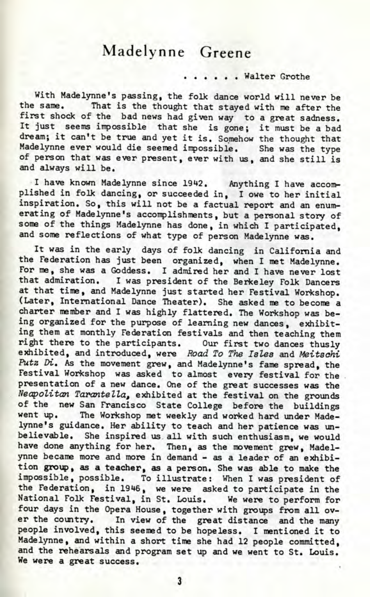## Madelynne Greene

#### . . . . . Walter Grothe

With Madelynne's passing, the folk dance world will never be the same. That is the thought that stayed with me after the first shock of the bad news had given way to a great sadness. It just seems impossible that she is gone; it must be a bad dream; it can't be true and yet it is. Somehow the thought that Madelynne ever would die seemed impossible. She was the type of person that was ever present, ever with us, and she still is and always will be.

I have known Madelynne since 1942. Anything I have accomplished in folk dancing, or succeeded in, I owe to her initial inspiration. So, this will not be a factual report and an enumerating of Madelynne's accomplishments, but a personal story of some of the things Madelynne has done, in which I participated, and some reflections of what type of person Madelynne was.

It was in the early days of folk dancing in California and the Federation has just been organized, when I met Madelynne. For me, she was a Goddess. I admired her and I have never lost that admiration. I was president of the Berkeley Folk Dancers at that time, and Madelynne just started her Festival Workshop. (Later, International Dance Theater). She asked me to become a charter member and I was highly flattered. The Workshop was being organized for the purpose of learning new dances, exhibiting them at monthly Federation festivals and then teaching them right there to the participants. Our first two dances thusly exhibited, and introduced, were *Road To The Isles* and *Meitsdhi* Putz Di. As the movement grew, and Madelynne's fame spread, the Festival Workshop was asked to almost every festival for the presentation of a new dance. One of the great successes was the *Neapolitan Tarantella,* exhibited at the festival on the grounds of the new San Francisco State College before the buildings went up. The Workshop met weekly and worked hard under Madelynne's guidance. Her ability to teach and her patience was unbelievable. She inspired us all with such enthusiasm, we would have done anything for her. Then, as the movement grew, Madelynne became more and more in demand - as a leader of an exhibition group, as a teacher, as a person. She was able to make the impossible, possible. To illustrate: When I was president of the Federation, in 1946, we were asked to participate in the Antional Folk Festival, in St. Louis. We were to perform for four days in the Opera House, together with groups from all over the country. In view of the great distance and the many people involved, this seemed to be hopeless. I mentioned it to Madelynne, and within a short time she had 12 people committed, and the rehearsals and program set up and we went to St. Louis. We were a great success.

3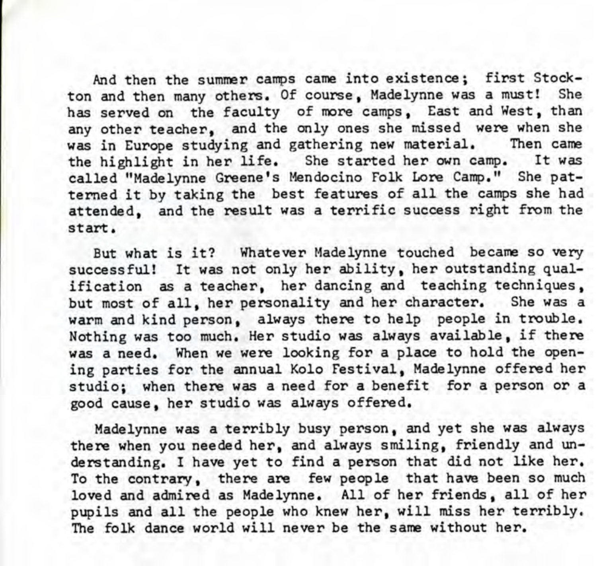And then the summer camps came into existence; first Stockton and then many others. Of course, Madelynne was a must! She has served on the faculty of more camps, East and West, than any other teacher, and the only ones she missed were when she was in Europe studying and gathering new material. Then came the highlight in her life. She started her own camp. It was called "Madelynne Greene's Mendocino Folk Lore Camp." She patterned it by taking the best features of all the camps she had attended, and the result was a terrific success right from the start.

But what is it? Whatever Madelynne touched became so very successful! It was not only her ability, her outstanding qualification as a teacher, her dancing and teaching techniques, but most of all, her personality and her character. She was a warm and kind person, always there to help people in trouble. Nothing was too much. Her studio was always available, if there was a need. When we were looking for a place to hold the opening parties for the annual Kolo Festival, Madelynne offered her studio; when there was a need for a benefit for a person or a good cause, her studio was always offered.

Madelynne was a terribly busy person, and yet she was always there when you needed her, and always smiling, friendly and understanding. I have yet to find a person that did not like her. To the contrary, there are few people that have been so much loved and admired as Madelynne. All of her friends, all of her pupils and all the people who knew her, will miss her terribly. The folk dance world will never be the same without her.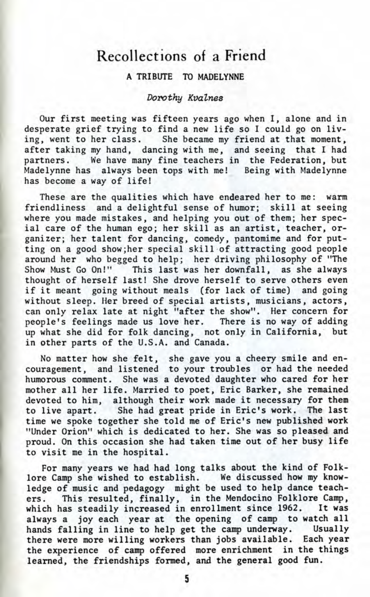## Recollections of a Friend

#### A TRIBUTE TO MADELYNNE

#### Dorothy Kvalnes

Our first meeting was fifteen years ago when I, alone and in desperate grief trying to find a new life so I could go on liv-<br>ing, went to her class. She became my friend at that moment, She became my friend at that moment, after taking my hand, dancing with me, and seeing that I had partners. We have many fine teachers in the Federation, but Madelynne has always been tops with me! Being with Madelynne has become a way of life!

These are the qualities which have endeared her to me: warm friendliness and a delightful sense of humor; skill at seeing where you made mistakes, and helping you out of them; her special care of the human ego; her skill as an artist, teacher, organizer; her talent for dancing, comedy, pantomime and for putting on a good show;her special skill of attracting good people around her who begged to help; her driving philosophy of "The Show Must Go On!" This last was her downfall, as she always thought of herself last! She drove herself to serve others even if it meant going without meals (for lack of time) and going without sleep. Her breed of special artists, musicians, actors, can only relax late at night "after the show". Her concern for people's feelings made us love her. There is no way of adding up what she did for folk dancing, not only in California, but in other parts of the U.S.A. and Canada.

No matter how she felt, she gave you a cheery smile and encouragement, and listened to your troubles or had the needed humorous comment. She was a devoted daughter who cared for her mother all her life. Married to poet, Eric Barker, she remained devoted to him, although their work made it necessary for them to live apart. She had great pride in Eric's work. The last time we spoke together she told me of Eric's new published work "Under Orion" which is dedicated to her. She was so pleased and proud. On this occasion she had taken time out of her busy life to visit me in the hospital.

For many years we had had long talks about the kind of Folklore Camp she wished to establish. We discussed how my knowledge of music and pedagogy might be used to help dance teachers. This resulted, finally, in the Mendocino Folklore Camp, which has steadily increased in enrollment since 1962. It was always a joy each year at the opening of camp to watch all hands falling in line to help get the camp underway. Usually there were more willing workers than jobs available. Each year the experience of camp offered more enrichment in the things learned, the friendships formed, and the general good fun.

5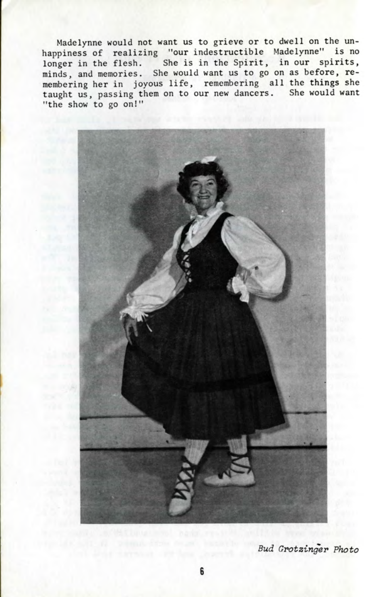Madelynne would not want us to grieve or to dwell on the unhappiness of realizing "our indestructible Madelynne" is no longer in the flesh. She is in the Spirit, in our spirits, ninds, and memories. She would want us to go on as before, remembering her in joyous life, remembering all the things she taught us, passing them on to our new dancers. She would want "the show to go on!"



Bud Grotzinger Photo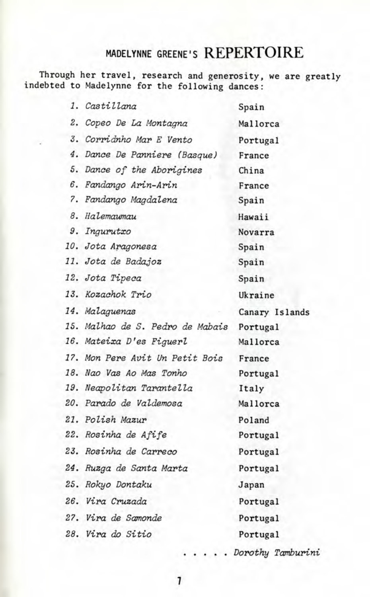## MADELYNNE GREENE'S **REPERTOIRE**

**Through her travel, research and generosity, we are greatly indebted to Madelynne for the following dances:**

| 1. Castillana                    | Spain          |
|----------------------------------|----------------|
| 2. Copeo De La Montagna          | Mallorca       |
| 3. Corridnho Mar E Vento         | Portugal       |
| 4. Dance De Panniere (Basque)    | France         |
| 5. Dance of the Aborigines       | China          |
| 6. Fandango Arin-Arin            | France         |
| 7. Fandango Magdalena            | Spain          |
| 8. Halemaumau                    | Hawaii         |
| 9. Ingurutxo                     | Novarra        |
| 10. Jota Aragonesa               | Spain          |
| 11. Jota de Badajoz              | Spain          |
| 12. Jota Tipeca                  | Spain          |
| 13. Kozachok Trio                | Ukraine        |
| 14. Malaguenas                   | Canary Islands |
| 15. Malhao de S. Pedro de Mabais | Portugal       |
| 16. Mateixa D'es Figuerl         | Mallorca       |
| 17. Mon Pere Avit Un Petit Bois  | France         |
| 18. Nao Vas Ao Mas Tonho         | Portugal       |
| 19. Neapolitan Tarantella        | Italy          |
| 20. Parado de Valdemosa          | Mallorca       |
| 21. Polish Mazur                 | Poland         |
| 22. Rosinha de Afife             | Portugal       |
| 23. Rosinha de Carreco           | Portugal       |
| 24. Ruzga de Santa Marta         | Portugal       |
| 25. Rokyo Dontaku                | Japan          |
| 26. Vira Cruzada                 | Portugal       |
| 27. Vira de Samonde              | Portugal       |
| 28. Vira do Sitio                | Portugal       |

Dorothy Tamburini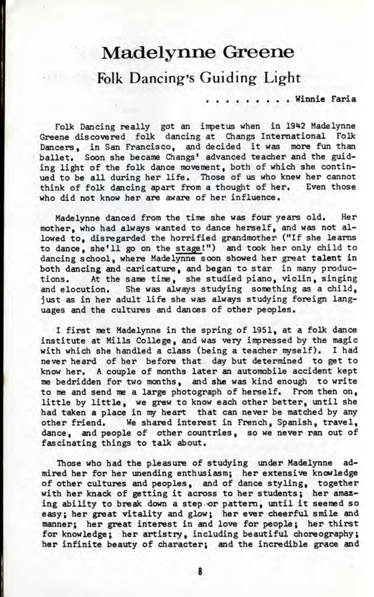# **Madelynne Greene**

Folk Dancing's Guiding Light

. . Winnie Faria

Folk Dancing really got an impetus when in 1942 Madelynne Greene discovered folk dancing at Changs International Folk Dancers, in San Francisco, and decided it was more fun than ballet. Soon she became Changs' advanced teacher and the guiding light of the folk dance movement, both of which she continued to be all during her life. Those of us who knew her cannot think of folk dancing apart from a thought of her. Even those who did not know her are aware of her influence.

Madelynne danced from the time she was four years old. Her mother, who had always wanted to dance herself, and was not allowed to, disregarded the horrified grandmother ("If she learns to dance, she'll go on the stage I") and took her only child to dancing school, where Madelynne soon showed her great talent in both dancing and caricature, and began to star in many productions. At the same time, she studied piano, violin, singing and elocution. She was always studying something as a child, just as in her adult life she was always studying foreign languages and the cultures and dances of other peoples.

I first met Madelynne in the spring of 1951, at a folk dance institute at Mills College, and was very impressed by the magic with which she handled a class (being a teacher myself). I had never heard of her before that day but determined to get to know her. A couple of months later an automobile accident kept me bedridden for two months, and she was kind enough to write to me and send me a large photograph of herself. From then on, little by little, we grew to know each other better, until she had taken a place in my heart that can never be matched by any other friend. We shared interest in French, Spanish, travel, dance, and people of other countries, so we never ran out of fascinating things to talk about.

Those who had the pleasure of studying under Madelynne admired her for her unending enthusiasm; her extensive knowledge of other cultures and peoples, and of dance styling, together with her knack of getting it across to her students; her amazing ability to break down a step or pattern, until it seemed so easy; her great vitality and glow; her ever cheerful smile and manner; her great interest in and love for people; her thirst for knowledge; her artistry, including beautiful choreography; her infinite beauty of character; and the incredible grace and